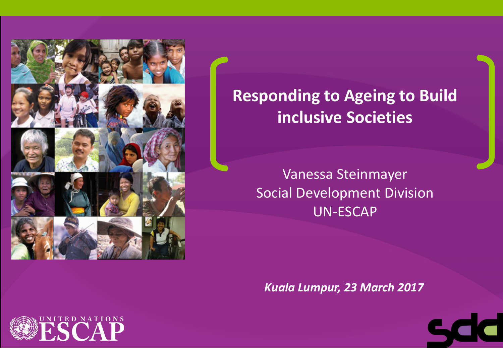

#### **Responding to Ageing to Build inclusive Societies**

Vanessa Steinmayer Social Development Division UN-ESCAP

*Kuala Lumpur, 23 March 2017*



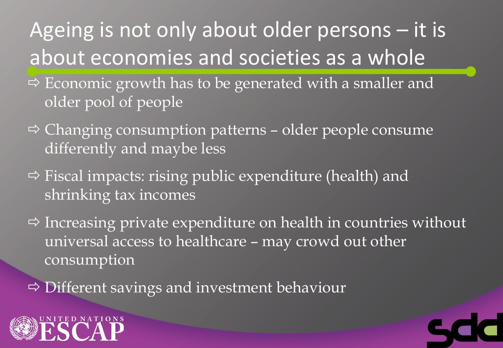### Ageing is not only about older persons  $-$  it is about economies and societies as a whole

- $\Rightarrow$  Economic growth has to be generated with a smaller and older pool of people
- ð Changing consumption patterns older people consume differently and maybe less
- $\Rightarrow$  Fiscal impacts: rising public expenditure (health) and shrinking tax incomes
- $\Rightarrow$  Increasing private expenditure on health in countries without universal access to healthcare - may crowd out other consumption
- ð Different savings and investment behaviour

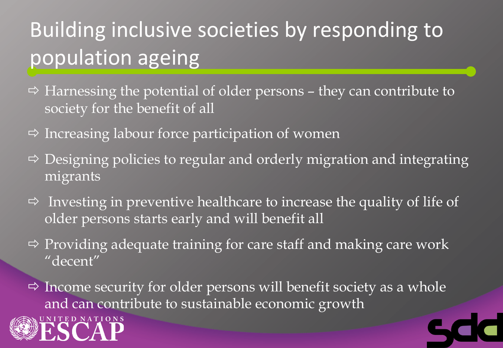# Building inclusive societies by responding to population ageing

- $\Rightarrow$  Harnessing the potential of older persons they can contribute to society for the benefit of all
- $\Rightarrow$  Increasing labour force participation of women
- $\Rightarrow$  Designing policies to regular and orderly migration and integrating migrants
- $\Rightarrow$  Investing in preventive healthcare to increase the quality of life of older persons starts early and will benefit all
- $\Rightarrow$  Providing adequate training for care staff and making care work "decent"
- $\Rightarrow$  Income security for older persons will benefit society as a whole and can contribute to sustainable economic growth



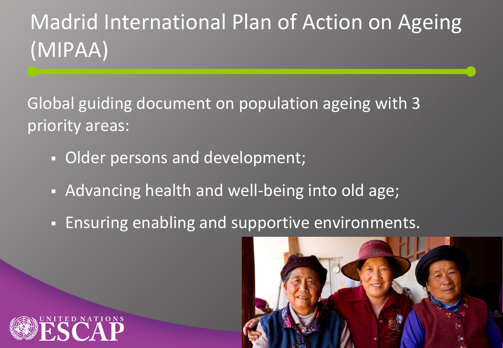# Madrid International Plan of Action on Ageing (MIPAA)

Global guiding document on population ageing with 3 priority areas:

- Older persons and development;
- Advancing health and well-being into old age;
- **Ensuring enabling and supportive environments.**



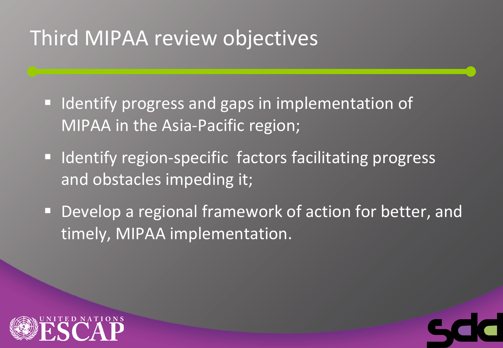#### Third MIPAA review objectives

- Identify progress and gaps in implementation of MIPAA in the Asia-Pacific region;
- Identify region-specific factors facilitating progress and obstacles impeding it;
- Develop a regional framework of action for better, and timely, MIPAA implementation.



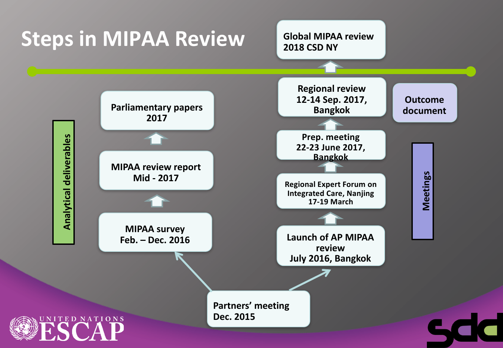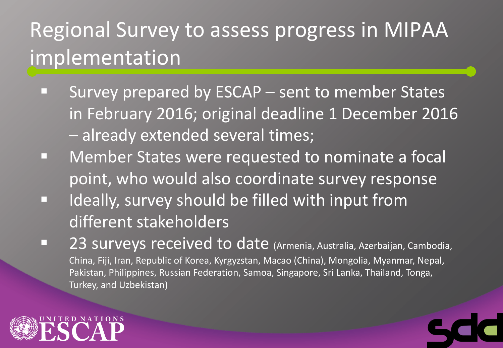#### Regional Survey to assess progress in MIPAA implementation

- Survey prepared by ESCAP sent to member States in February 2016; original deadline 1 December 2016 - already extended several times;
- Member States were requested to nominate a focal point, who would also coordinate survey response
- **E** Ideally, survey should be filled with input from different stakeholders
- 23 surveys received to date (Armenia, Australia, Azerbaijan, Cambodia, China, Fiji, Iran, Republic of Korea, Kyrgyzstan, Macao (China), Mongolia, Myanmar, Nepal, Pakistan, Philippines, Russian Federation, Samoa, Singapore, Sri Lanka, Thailand, Tonga, Turkey, and Uzbekistan)

![](_page_6_Picture_5.jpeg)

![](_page_6_Picture_6.jpeg)